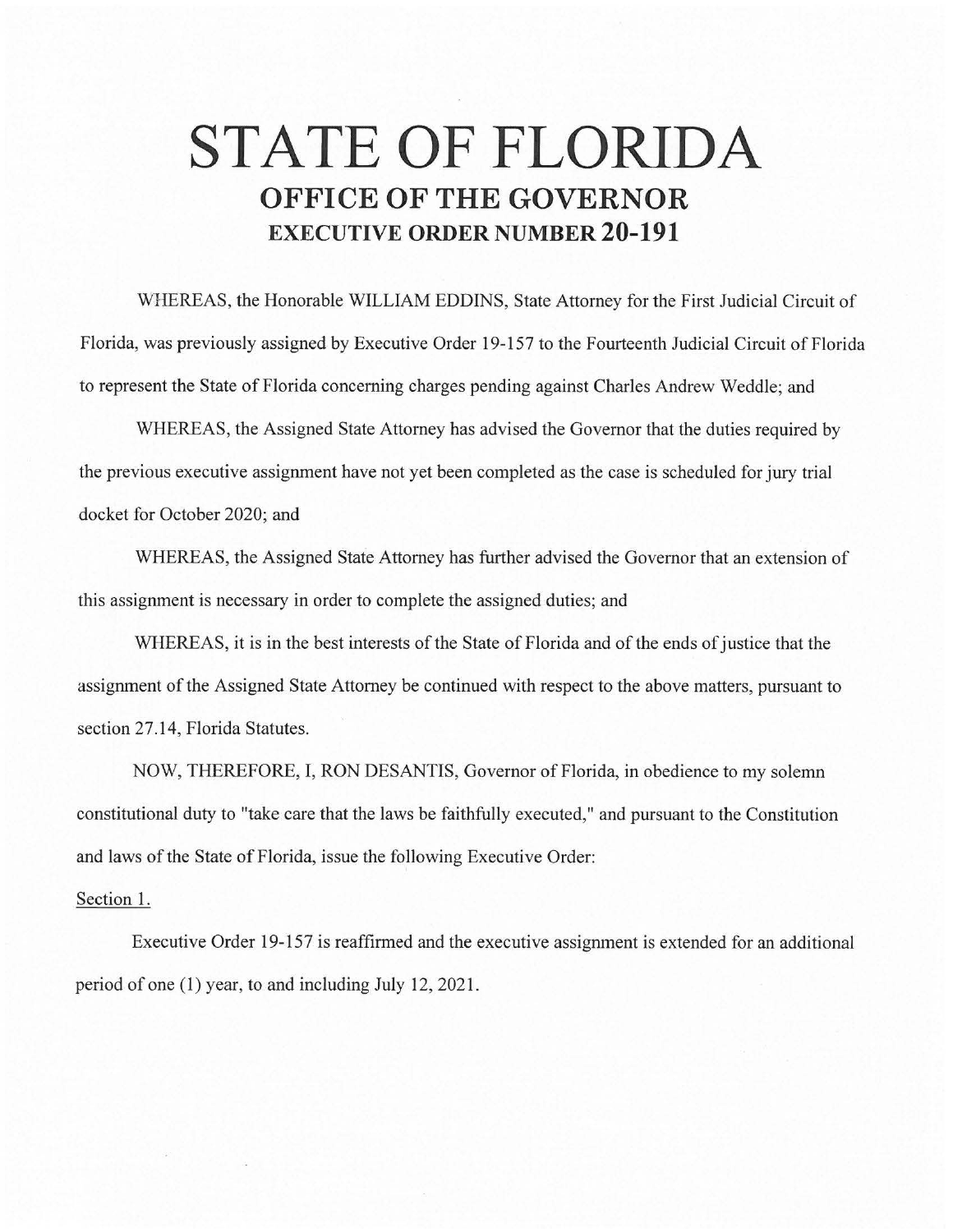## **STATE OF FLORIDA OFFICE OF THE GOVERNOR EXECUTIVE ORDER NUMBER 20-191**

WHEREAS, the Honorable WILLIAM EDDINS, State Attorney for the First Judicial Circuit of Florida, was previously assigned by Executive Order 19-157 to the Fourteenth Judicial Circuit of Florida to represent the State of Florida concerning charges pending against Charles Andrew Weddle; and

WHEREAS, the Assigned State Attorney has advised the Governor that the duties required by the previous executive assignment have not yet been completed as the case is scheduled for jury trial docket for October 2020; and

WHEREAS, the Assigned State Attorney has further advised the Governor that an extension of this assignment is necessary in order to complete the assigned duties; and

WHEREAS, it is in the best interests of the State of Florida and of the ends of justice that the assignment of the Assigned State Attorney be continued with respect to the above matters, pursuant to section 27.14, Florida Statutes.

NOW, THEREFORE, I, RON DESANTIS, Governor of Florida, in obedience to my solemn constitutional duty to "take care that the laws be faithfully executed," and pursuant to the Constitution and laws of the State of Florida, issue the following Executive Order:

## Section 1.

Executive Order 19-157 is reaffirmed and the executive assignment is extended for an additional period of one (1) year, to and including July 12, 2021.